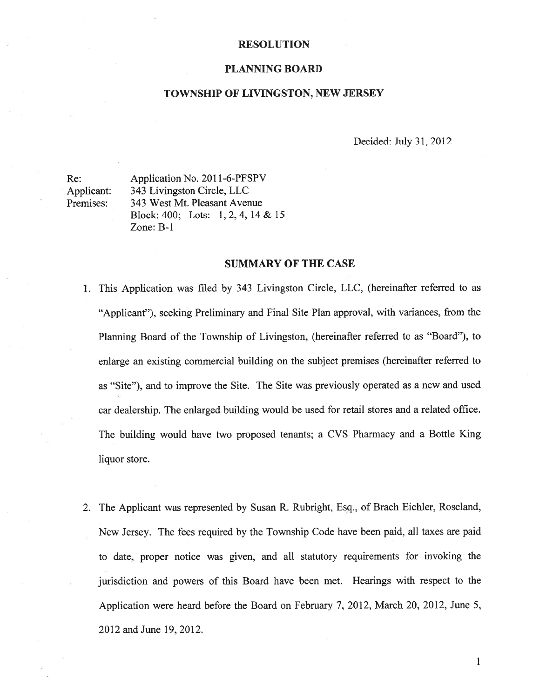#### RESOLUTION

#### PLANNING BOARD

#### TOWNSHIP OF LIVINGSTON, NEW JERSEY

Decided: July 31, 2012

Re: Application No. 2011-6-PFSPV Applicant: 343 Livingston Circle, LLC Premises: 343 West Mt. Pleasant Avenue Block: 400; Lots: 1, 2, 4, 14 & 15 Zone: B-i

#### SUMMARY OF THE CASE

- 1. This Application was filed by 343 Livingston Circle, LLC, (hereinafter referred to as "Applicant"), seeking Preliminary and Final Site Plan approval, with variances, from the Planning Board of the Township of Livingston, (hereinafter referred to as "Board"), to enlarge an existing commercial building on the subject premises (hereinafter referred to as "Site"), and to improve the Site. The Site was previously operated as <sup>a</sup> new and used car dealership. The enlarged building would be used for retail stores and <sup>a</sup> related office. The building would have two proposed tenants; <sup>a</sup> CVS Pharmacy and <sup>a</sup> Bottle King liquor store.
- 2. The Applicant was represented by Susan R. Rubright, Esq., of Brach Eichler, Roseland, New Jersey. The fees required by the Township Code have been paid, all taxes are paid to date, proper notice was given, and all statutory requirements for invoking the jurisdiction and powers of this Board have been met. Hearings with respec<sup>t</sup> to the Application were heard before the Board on February 7, 2012, March 20, 2012, June 5, 2012 and June 19, 2012.

 $\mathbf{1}$ 1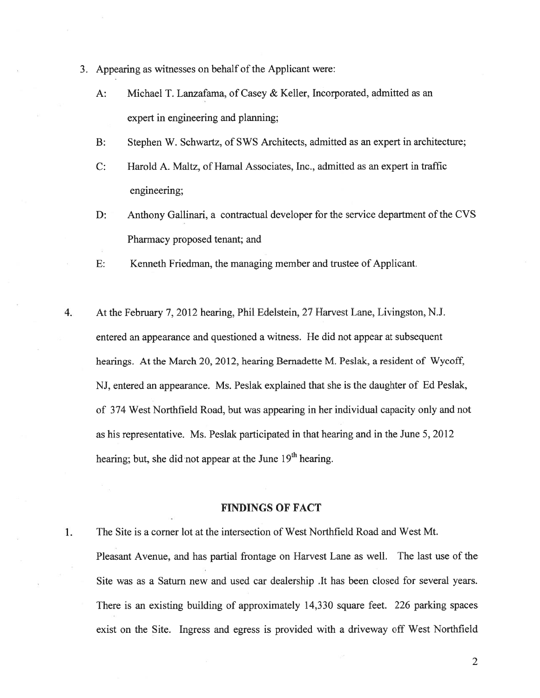- 3. Appearing as witnesses on behalf of the Applicant were:
	- A: Michael T. Lanzafama, of Casey & Keller, Incorporated, admitted as an exper<sup>t</sup> in engineering and planning;
	- B: Stephen W. Schwartz, of SWS Architects, admitted as an exper<sup>t</sup> in architecture;
	- C: Harold A. Maltz, of Hamal Associates, Inc., admitted as an exper<sup>t</sup> in traffic engineering;
	- D: Anthony Gallinari, <sup>a</sup> contractual developer for the service department of the CVS Pharmacy proposed tenant; and
	- E: Kenneth Friedman, the managing member and trustee of Applicant.
- 4. At the February 7, 2012 hearing, Phil Edelstein, 27 Harvest Lane, Livingston, N.J. entered an appearance and questioned <sup>a</sup> witness. He did not appear at subsequent hearings. At the March 20, 2012, hearing Bernadette M. Peslak, <sup>a</sup> resident of Wycoff, NJ, entered an appearance. Ms. Peslak explained that she is the daughter of Ed Peslak, of 374 West Northfield Road, but was appearing in her individual capacity only and not as his representative. Ms. Peslak participated in that hearing and in the June 5, 2012 hearing; but, she did not appear at the June  $19<sup>th</sup>$  hearing.

#### FINDINGS OF FACT

1.

The Site is <sup>a</sup> corner lot at the intersection of West Northfield Road and West Mt.

Pleasant Avenue, and has partial frontage on Harvest Lane as well. The last use of the Site was as <sup>a</sup> Saturn new and used car dealership .It has been closed for several years. There is an existing building of approximately 14,330 square feet. 226 parking spaces exist on the Site. Ingress and egress is provided with <sup>a</sup> driveway off West Northfield

 $\overline{2}$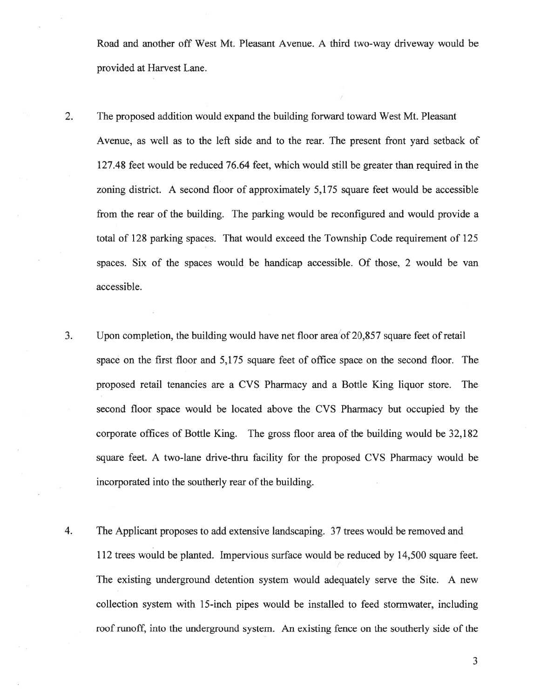Road and another off West Mt. Pleasant Avenue. A third two-way driveway would be provided at Harvest Lane.

- 2. The proposed addition would expand the building forward toward West Mt. Pleasant Avenue, as well as to the left side and to the rear. The presen<sup>t</sup> front yard setback of 127.48 feet would be reduced 76.64 feet, which would still be greater than required in the zoning district. A second floor of approximately 5,175 square feet would be accessible from the rear of the building. The parking would be reconfigured and would provide <sup>a</sup> total of 128 parking spaces. That would exceed the Township Code requirement of 125 spaces. Six of the spaces would be handicap accessible. Of those, 2 would be van accessible.
- 3. Upon completion, the building would have net floor area'of 20,857 square feet of retail space on the first floor and 5,175 square feet of office space on the second floor. The proposed retail tenancies are <sup>a</sup> CVS Pharmacy and <sup>a</sup> Bottle King liquor store. The second floor space would be located above the CVS Pharmacy but occupied by the corporate offices of Bottle King. The gross floor area of the building would be 32,182 square feet. A two-lane drive-thru facility for the proposed CVS Pharmacy would be incorporated into the southerly rear of the building.
- 4. The Applicant proposes to add extensive landscaping. 37 trees would be removed and 112 trees would be planted. Impervious surface would be reduced by 14,500 square feet. The existing underground detention system would adequately serve the Site. A new collection system with 15-inch pipes would be installed to feed stormwater, including roof runoff, into the underground system. An existing fence on the southerly side of the

.3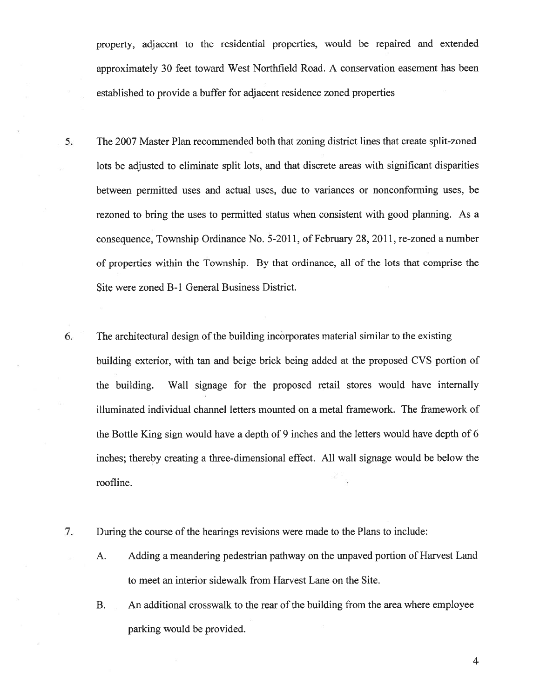property, adjacent to the residential properties, would be repaired and extended approximately 30 feet toward West Northfield Road. A conservation easement has been established to provide <sup>a</sup> buffer for adjacent residence zoned properties

- 5. The 2007 Master Plan recommended both that zoning district lines that create split-zoned lots be adjusted to eliminate split lots, and that discrete areas with significant disparities between permitted uses and actual uses, due to variances or nonconforming uses, be rezoned to bring the uses to permitted status when consistent with good planning. As <sup>a</sup> consequence, Township Ordinance No. 5-2011, of February 28, 2011, re-zoned <sup>a</sup> number of properties within the Township. By that ordinance, all of the lots that comprise the Site were zoned B-i General Business District.
- 6. The architectural design of the building incorporates material similar to the existing building exterior, with tan and beige brick being added at the proposed CVS portion of the building. Wall signage for the proposed retail stores would have internally illuminated individual channel letters mounted on <sup>a</sup> metal framework. The framework of the Bottle King sign would have <sup>a</sup> depth of 9 inches and the letters would have depth of 6 inches; thereby creating <sup>a</sup> three-dimensional effect. All wall signage would be below the roofline.
- 7. During the course of the hearings revisions were made to the Plans to include:
	- A. Adding <sup>a</sup> meandering pedestrian pathway on the unpaved portion of Harvest Land to meet an interior sidewalk from Harvest Lane on the Site.
	- B. An additional crosswalk to the rear of the building from the area where employee parking would be provided.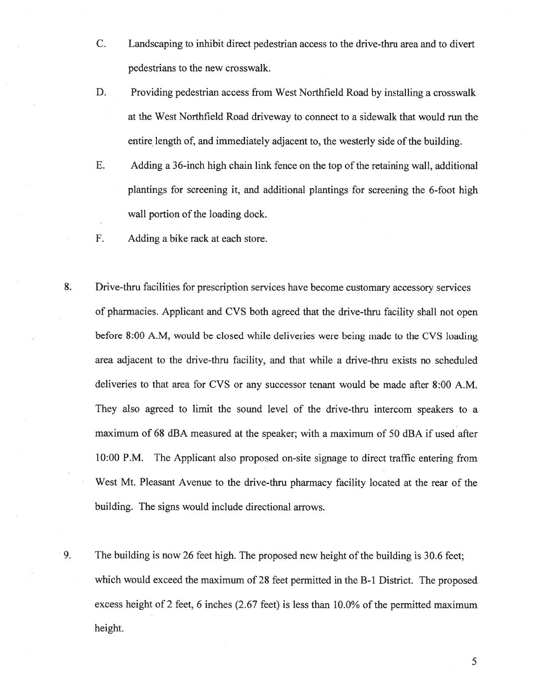- C. Landscaping to inhibit direct pedestrian access to the drive-thru area and to divert pedestrians to the new crosswalk.
- D. Providing pedestrian access from West Northfield Road by installing <sup>a</sup> crosswalk at the West Northfield Road driveway to connect to <sup>a</sup> sidewalk that would run the entire length of, and immediately adjacent to, the westerly side of the building.
- E. Adding <sup>a</sup> 36-inch high chain link fence on the top of the retaining wall, additional plantings for screening it, and additional plantings for screening the 6-foot high wall portion of the loading dock.
- F. Adding <sup>a</sup> bike rack at each store.
- 8. Drive-thru facilities for prescription services have become customary accessory services of <sup>p</sup>harmacies. Applicant and CVS both agreed that the drive-thru facility shall not open before 8:00 A.M, would be closed while deliveries were being made to the CVS loading area adjacent to the drive-thru facility, and that while <sup>a</sup> drive-thru exists no scheduled deliveries to that area for CVS or any successor tenant would be made after 8:00 A.M. They also agreed to limit the sound level of the drive-thru intercom speakers to <sup>a</sup> maximum of 68 dBA measured at the speaker; with <sup>a</sup> maximum of 50 dBA if used after 10:00 P.M. The Applicant also proposed on-site signage to direct traffic entering from West Mt. Pleasant Avenue to the drive-thru pharmacy facility located at the rear of the building. The signs would include directional arrows.
- 9. The building is now 26 feet high. The proposed new height of the building is 30.6 feet; which would exceed the maximum of 28 feet permitted in the B-1 District. The proposed excess height of 2 feet, 6 inches (2.67 feet) is less than 10.0% of the permitted maximum height.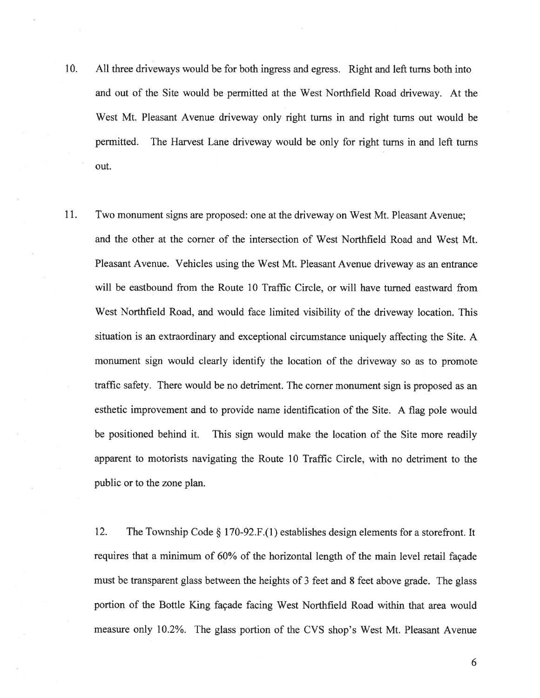- 10. All three driveways would be for both ingress and egress. Right and left turns both into and out of the Site would be permitted at the West Northfield Road driveway. At the West Mt. Pleasant Avenue driveway only right turns in and right turns out would be permitted. The Harvest Lane driveway would be only for right turns in and left turns out.
- 11. Two monument signs are proposed: one at the driveway on West Mt. Pleasant Avenue; and the other at the corner of the intersection of West Northfield Road and West Mt. Pleasant Avenue. Vehicles using the West Mt. Pleasant Avenue driveway as an entrance will be eastbound from the Route 10 Traffic Circle. or will have turned eastward from West Northfield Road, and would face limited visibility of the driveway location. This situation is an extraordinary and exceptional circumstance uniquely affecting the Site. A monument sign would clearly identify the location of the driveway so as to promote traffic safety. There would be no detriment. The corner monument sign is proposed as an esthetic improvement and to provide name identification of the Site. <sup>A</sup> flag pole would be positioned behind it. This sign would make the location of the Site more readily apparen<sup>t</sup> to motorists navigating the Route 10 Traffic Circle, with no detriment to the public or to the zone plan.

12. The Township Code § 170-92.F.(l) establishes design elements for <sup>a</sup> storefront. It requires that <sup>a</sup> minimum of 60% of the horizontal length of the main level retail façade must be transparent glass between the heights of 3 feet and 8 feet above grade. The glass portion of the Bottle King façade facing West Northfield Road within that area would measure only 10.2%. The glass portion of the CVS shop's West Mt. Pleasant Avenue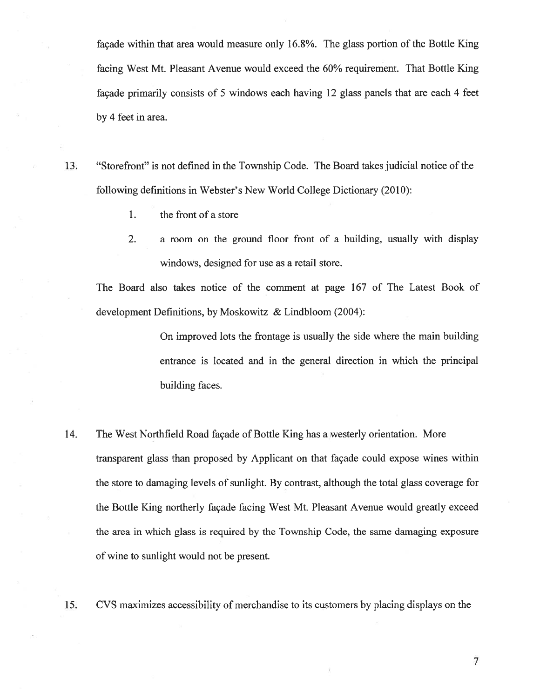façade within that area would measure only 16.8%. The glass portion of the Bottle King facing West Mt. Pleasant Avenue would exceed the 60% requirement. That Bottle King façade primarily consists of 5 windows each having 12 glass panels that are each 4 feet by 4 feet in area.

- 13. "Storefront" is not defined in the Township Code. The Board takes judicial notice of the following definitions in Webster's New World College Dictionary (2010):
	- 1. the front of <sup>a</sup> store
	- 2. <sup>a</sup> room on the ground floor front of <sup>a</sup> building, usually with display windows, designed for use as <sup>a</sup> retail store.

The Board also takes notice of the comment at page 167 of The Latest Book of development Definitions, by Moskowitz & Lindbloom (2004):

> On improved lots the frontage is usually the side where the main building entrance is located and in the general direction in which the principal building faces.

- 14. The West Northfield Road façade of Bottle King has <sup>a</sup> westerly orientation. More transparent glass than proposed by Applicant on that façade could expose wines within the store to damaging levels of sunlight. By contrast, although the total glass coverage for the Bottle King northerly façade facing West Mt. Pleasant Avenue would greatly exceed the area in which glass is required by the Township Code, the same damaging exposure of wine to sunlight would not be present.
- 15. CVS maximizes accessibility of merchandise to its customers by placing displays on the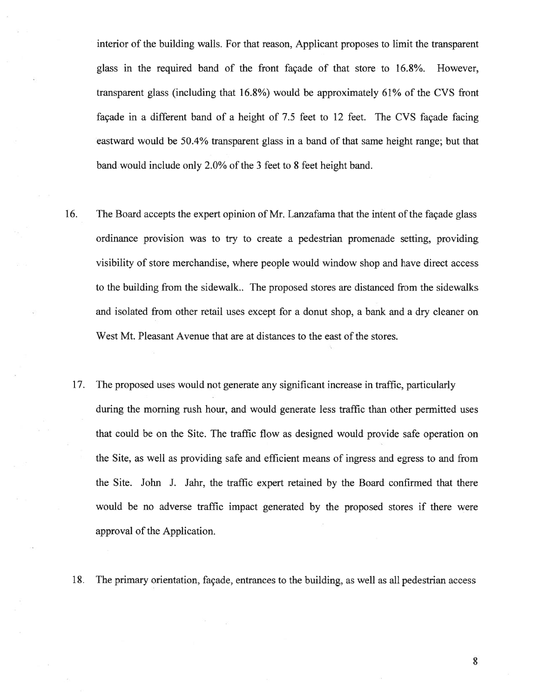interior of the building walls. For that reason, Applicant proposes to limit the transparent glass in the required band of the front façade of that store to 16.8%. However, transparent glass (including that 16.8%) would be approximately 61% of the CVS front façade in <sup>a</sup> different band of <sup>a</sup> height of 7.5 feet to 12 feet. The CVS façade facing eastward would be 50.4% transparent glass in <sup>a</sup> band of that same height range; but that band would include only 2.0% of the 3 feet to 8 feet height band.

- 16. The Board accepts the exper<sup>t</sup> opinion of Mr. Lanzafama that the intent of the façade glass ordinance provision was to try to create <sup>a</sup> pedestrian promenade setting, providing visibility of store merchandise, where people would window shop and have direct access to the building from the sidewalk.. The proposed stores are distanced from the sidewalks and isolated from other retail uses excep<sup>t</sup> for <sup>a</sup> donut shop, <sup>a</sup> bank and <sup>a</sup> dry cleaner on West Mt. Pleasant Avenue that are at distances to the east of the stores.
	- 17. The proposed uses would not generate any significant increase in traffic, particularly during the morning rush hour, and would generate less traffic than other permitted uses that could be on the Site. The traffic flow as designed would provide safe operation on the Site, as well as providing safe and efficient means of ingress and egress to and from the Site. John J. Jahr, the traffic exper<sup>t</sup> retained by the Board confirmed that there would be no adverse traffic impact generated by the proposed stores if there were approval of the Application.
	- 18. The primary orientation, façade, entrances to the building, as well as all pedestrian access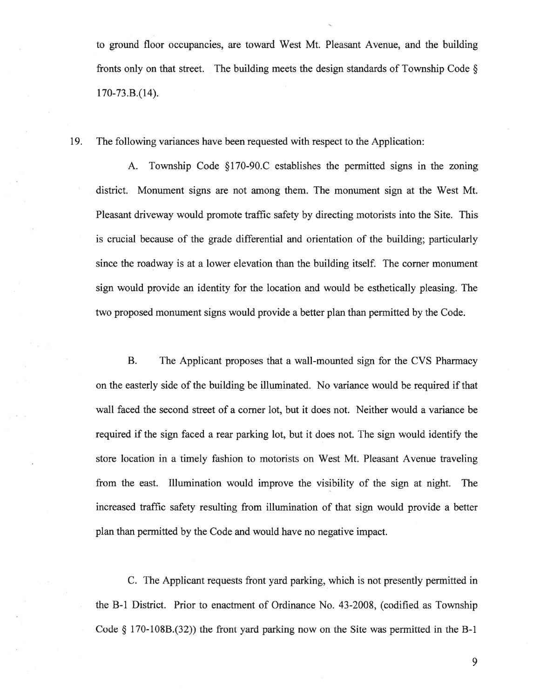to ground floor occupancies, are toward West Mt. Pleasant Avenue, and the building fronts only on that street. The building meets the design standards of Township Code  $\S$  $170 - 73.B.(14).$ 

19. The following variances have been requested with respec<sup>t</sup> to the Application:

A. Township Code §170-90.C establishes the permitted signs in the zoning district. Monument signs are not among them. The monument sign at the West Mt. Pleasant driveway would promote traffic safety by directing motorists into the Site. This is crucial because of the grade differential and orientation of the building; particularly since the roadway is at <sup>a</sup> lower elevation than the building itself. The corner monument sign would provide an identity for the location and would be esthetically pleasing. The two proposed monument signs would provide <sup>a</sup> better plan than permitted by the Code.

B. The Applicant proposes that <sup>a</sup> wall-mounted sign for the CVS Pharmacy on the easterly side of the building be illuminated. No variance would be required if that wall faced the second street of <sup>a</sup> corner lot, but it does not. Neither would <sup>a</sup> variance be required if the sign faced <sup>a</sup> rear parking lot, but it does not. The sign would identify the store location in <sup>a</sup> timely fashion to motorists on West Mt. Pleasant Avenue traveling from the east. Illumination would improve the visibility of the sign at night. The increased traffic safety resulting from illumination of that sign would provide <sup>a</sup> better plan than permitted by the Code and would have no negative impact.

C. The Applicant requests front yard parking, which is not presently permitted in the B-i District. Prior to enactment of Ordinance No. 43-2008, (codified as Township Code § 170-108B.(32)) the front yar<sup>d</sup> parking now on the Site was permitted in the B-i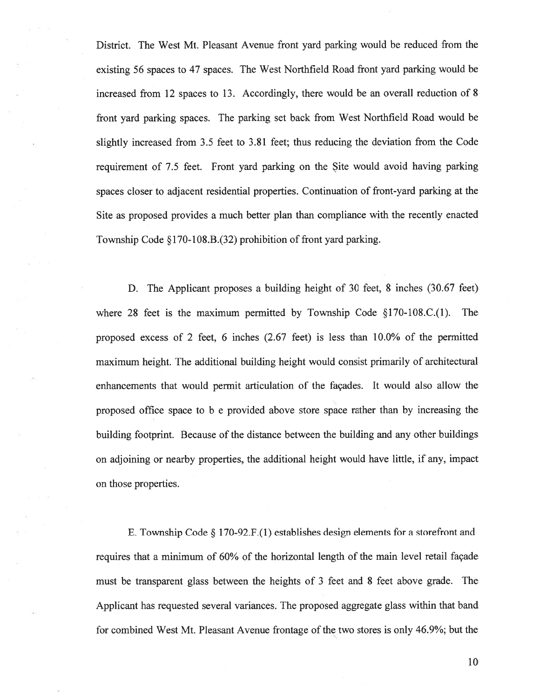District. The West Mt. Pleasant Avenue front yard parking would be reduced from the existing <sup>56</sup> spaces to 47 spaces. The West Northfield Road front yard parking would be increased from 12 spaces to 13. Accordingly, there would be an overall reduction of 8 front yard parking spaces. The parking set back from West Northfield Road would be slightly increased from 3.5 feet to 3.81 feet; thus reducing the deviation from the Code requirement of 7.5 feet. Front yard parking on the Site would avoid having parking spaces closer to adjacent residential properties. Continuation of front-yard parking at the Site as proposed provides <sup>a</sup> much better plan than compliance with the recently enacted Township Code §170-108.B.(32) prohibition of front yard parking.

D. The Applicant proposes <sup>a</sup> building height of 30 feet, 8 inches (30.67 feet) where 28 feet is the maximum permitted by Township Code  $\S170$ -108.C.(1). The proposed excess of 2 feet, 6 inches (2.67 feet) is less than 10.0% of the permitted maximum height. The additional building height would consist primarily of architectural enhancements that would permit articulation of the façades. It would also allow the proposed office space to b <sup>e</sup> provided above store space rather than by increasing the building footprint. Because of the distance between the building and any other buildings on adjoining or nearby properties, the additional height would have little, if any. impact on those properties.

E. Township Code § 170-92.F.(1) establishes design elements for <sup>a</sup> storefront and requires that <sup>a</sup> minimum of 60% of the horizontal length of the main level retail façade must be transparent glass between the heights of 3 feet and 8 feet above grade. The Applicant has requested several variances. The proposed aggregate glass within that band for combined West Mt. Pleasant Avenue frontage of the two stores is only 46.9%; but the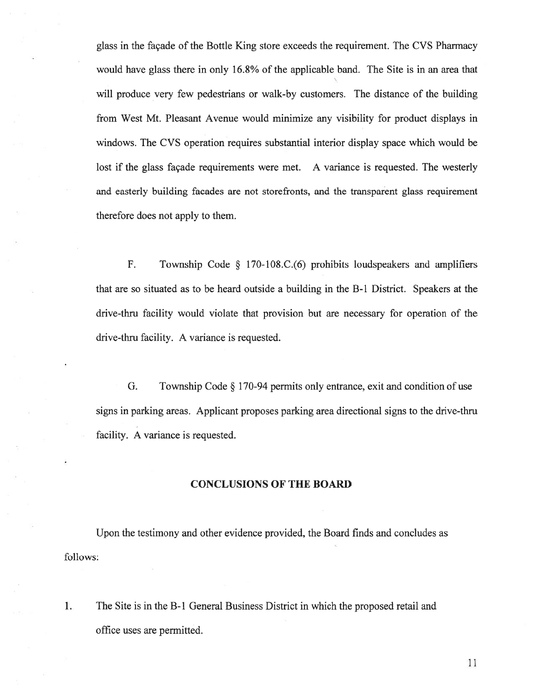glass in the façade of the Bottle King store exceeds the requirement. The CVS Pharmacy would have glass there in only 16.8% of the applicable band. The Site is in an area that will produce very few pedestrians or walk-by customers. The distance of the building from West Mt. Pleasant Avenue would minimize any visibility for product displays in windows. The CVS operation requires substantial interior display space which would be lost if the glass façade requirements were met. A variance is requested. The westerly and easterly building facades are not storefronts, and the transparent glass requirement therefore does not apply to them.

F. Township Code § 170-108.C.(6) prohibits loudspeakers and amplifiers that are so situated as to be heard outside <sup>a</sup> building in the B-i District. Speakers at the drive-thru facility would violate that provision but are necessary for operation of the drive-thru facility. A variance is requested.

G. Township Code § 170-94 permits only entrance, exit and condition of use signs in parking areas. Applicant proposes parking area directional signs to the drive-thru facility. A variance is requested.

## CONCLUSIONS OF THE BOARD

Upon the testimony and other evidence provided, the Board finds and concludes as follows:

1. The Site is in the B-i General Business District in which the proposed retail and office uses are permitted.

ii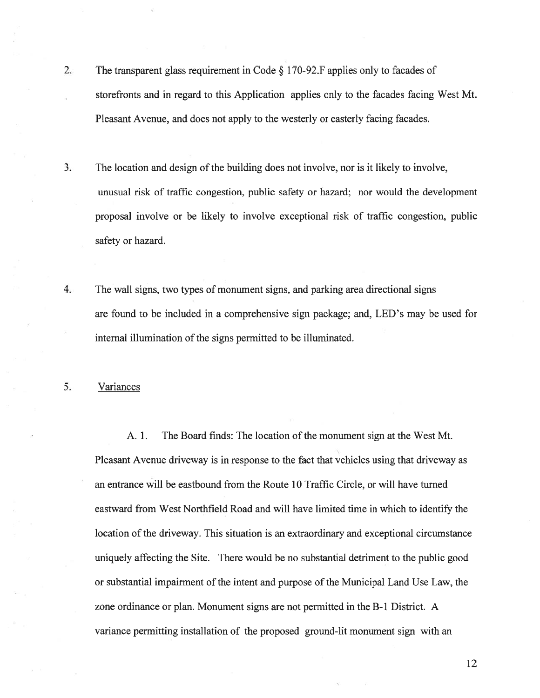- 2. The transparent <sup>g</sup>lass requirement in Code § <sup>1</sup> 70-92.F applies only to facades of storefronts and in regard to this Application applies only to the facades facing West Mt. Pleasant Avenue, and does not apply to the westerly or easterly facing facades.
- 3. The location and design of the building does not involve, nor is it likely to involve, unusual risk of traffic congestion, public safety or hazard; nor would the development proposal involve or be likely to involve exceptional risk of traffic congestion, public safety or hazard.
- 4. The wall signs, two types of monument signs, and parking area directional signs are found to be included in <sup>a</sup> comprehensive sign package; and, LED's may be used for internal illumination of the signs permitted to be illuminated.

5. Variances

A. 1. The Board finds: The location of the monument sign at the West Mt. Pleasant Avenue driveway is in response to the fact that vehicles using that driveway as an entrance will be eastbound from the Route 10 Traffic Circle, or will have turned eastward from West Northfield Road and will have limited time in which to identify the location of the driveway. This situation is an extraordinary and exceptional circumstance uniquely affecting the Site. There would be no substantial detriment to the public good or substantial impairment ofthe intent and purpose of the Municipal Land Use Law, the zone ordinance or plan. Monument signs are not permitted in the B-i District. A variance permitting installation of the proposed ground-lit monument sign with an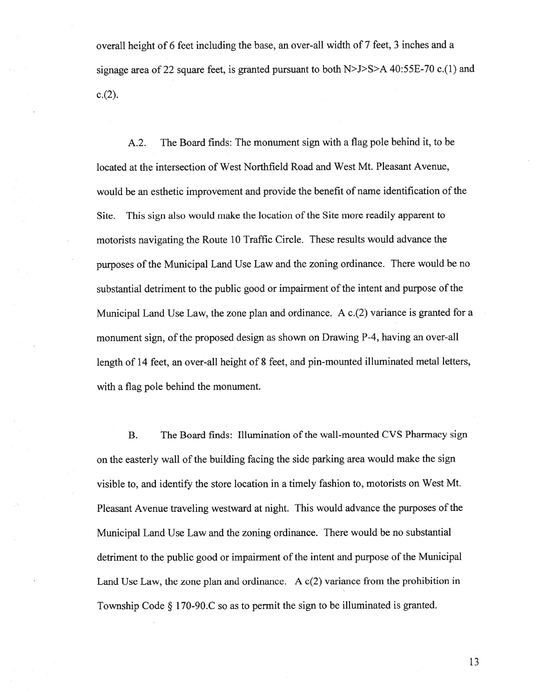overall height of <sup>6</sup> feet including the base, an over-all width of <sup>7</sup> feet, <sup>3</sup> inches and <sup>a</sup> signage area of <sup>22</sup> square feet, is granted pursuan<sup>t</sup> to both N>J>S>A 40:55E-70 c.(1) and  $c.(2)$ .

A.2. The Board finds: The monument sign with <sup>a</sup> flag pole behind it, to be located at the intersection of West Northfield Road and West Mt. Pleasant Avenue, would be an esthetic improvement and provide the benefit of name identification of the Site. This sign also would make the location of the Site more readily apparen<sup>t</sup> to motorists navigating the Route <sup>10</sup> Traffic Circle. These results would advance the purposes of the Municipal Land Use Law and the zoning ordinance. There would be no substantial detriment to the public good or impairment of the intent and purpose of the Municipal Land Use Law, the zone plan and ordinance. A  $c(2)$  variance is granted for a monument sign, of the proposed design as shown on Drawing P-4, having an over-all length of <sup>14</sup> feet, an over-all height of <sup>8</sup> feet, and <sup>p</sup>in-mounted illuminated metal letters, with <sup>a</sup> flag pole behind the monument.

B. The Board finds: Illumination of the wall-mounted CVS Pharmacy sign on the easterly wall ofthe building facing the side parking area would make the sign visible to, and identify the store location in <sup>a</sup> timely fashion to, motorists on West Mt. Pleasant Avenue traveling westward at night. This would advance the purposes of the Municipal Land Use Law and the zoning ordinance. There would be no substantial detriment to the public good or impairment of the intent and purpose of the Municipal Land Use Law, the zone plan and ordinance. A  $c(2)$  variance from the prohibition in Township Code § 170-90.C so as to permit the sign to be illuminated is granted.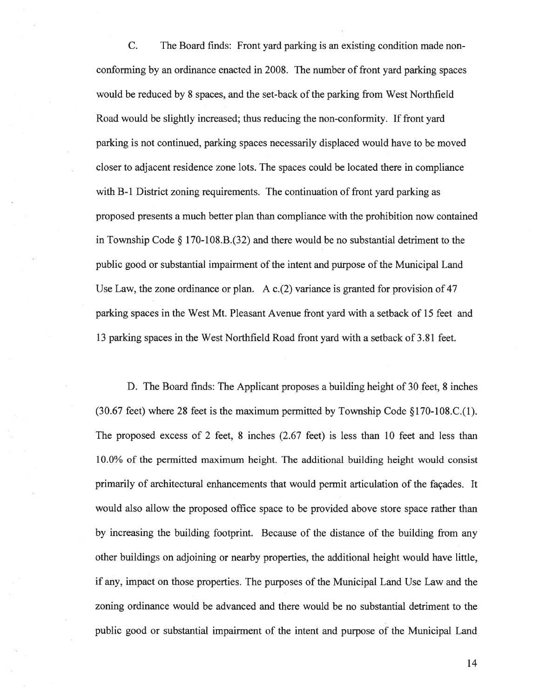C. The Board finds: Front yard parking is an existing condition made non conforming by an ordinance enacted in 2008. The number of front yard parking spaces would be reduced by 8 spaces, and the set-back of the parking from West Northfield Road would be slightly increased; thus reducing the non-conformity. If front yard parking is not continued, parking spaces necessarily displaced would have to be moved closer to adjacent residence zone lots. The spaces could be located there in compliance with B-1 District zoning requirements. The continuation of front yard parking as proposed presents <sup>a</sup> much better plan than compliance with the prohibition now contained in Township Code § 170-108.B.(32) and there would be no substantial detriment to the public good or substantial impairment of the intent and purpose of the Municipal Land Use Law, the zone ordinance or plan. A c.(2) variance is granted for provision of 47 parking spaces in the West Mt. Pleasant Avenue front yard with <sup>a</sup> setback of 15 feet and 13 parking spaces in the West Northfield Road front yard with <sup>a</sup> setback of 3.81 feet.

D. The Board finds: The Applicant proposes <sup>a</sup> building height of 30 feet, 8 inches (30.67 feet) where 28 feet is the maximum permitted by Township Code  $\S 170-108$ .C.(1). The proposed excess of 2 feet, 8 inches (2.67 feet) is less than 10 feet and less than 10.0% of the permitted maximum height. The additional building height would consist primarily of architectural enhancements that would permit articulation of the façades. It would also allow the proposed office space to be provided above store space rather than by increasing the building footprint. Because of the distance of the building from any other buildings on adjoining or nearby properties, the additional height would have little, if any, impact on those properties. The purposes of the Municipal Land Use Law and the zoning ordinance would be advanced and there would be no substantial detriment to the public good or substantial impairment of the intent and purpose of the Municipal Land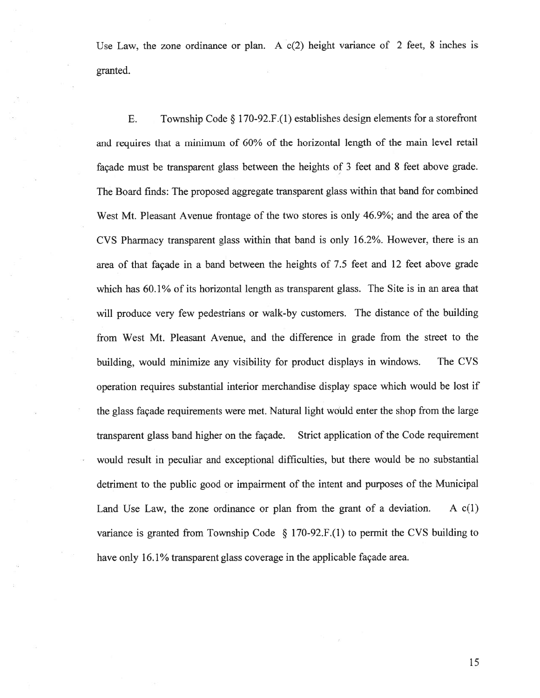Use Law, the zone ordinance or plan. A  $c(2)$  height variance of 2 feet, 8 inches is granted.

E. Township Code  $\S 170-92.F.(1)$  establishes design elements for a storefront and requires that <sup>a</sup> minimum of 60% of the horizontal length of the main level retail façade must be transparent <sup>g</sup>lass between the heights of <sup>3</sup> feet and 8 feet above grade. The Board finds: The proposed aggregate transparent glass within that band for combined West Mt. Pleasant Avenue frontage of the two stores is only 46.9%; and the area of the CVS Pharmacy transparent <sup>g</sup>lass within that band is only 16.2%. However, there is an area of that façade in <sup>a</sup> band between the heights of 7.5 feet and <sup>12</sup> feet above grade which has 60.1% of its horizontal length as transparent glass. The Site is in an area that will produce very few pedestrians or walk-by customers. The distance of the building from West Mt. Pleasant Avenue, and the difference in grade from the street to the building, would minimize any visibility for product displays in windows. The CVS operation requires substantial interior merchandise display space which would be lost if the <sup>g</sup>lass façade requirements were met. Natural light would enter the shop from the large transparent glass band higher on the façade. Strict application of the Code requirement would result in peculiar and exceptional difficulties, but there would be no substantial detriment to the public good or impairment of the intent and purposes of the Municipal Land Use Law, the zone ordinance or plan from the grant of a deviation. A  $c(1)$ variance is granted from Township Code § 170-92.F.(1) to permit the CVS building to have only 16.1% transparent glass coverage in the applicable façade area.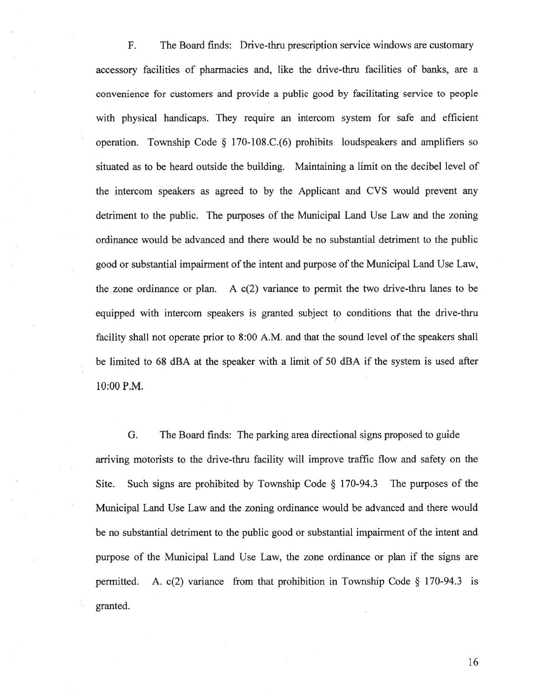F. The Board finds: Drive-thru prescription service windows are customary accessory facilities of pharmacies and, like the drive-thru facilities of banks, are <sup>a</sup> convenience for customers and provide <sup>a</sup> public good by facilitating service to people with physical handicaps. They require an intercom system for safe and efficient operation. Township Code  $\S$  170-108.C.(6) prohibits loudspeakers and amplifiers so situated as to be heard outside the building. Maintaining <sup>a</sup> limit on the decibel level of the intercom speakers as agreed to by the Applicant and CVS would preven<sup>t</sup> any detriment to the public. The purposes of the Municipal Land Use Law and the zoning ordinance would be advanced and there would be no substantial detriment to the public good or substantial impairment of the intent and purpose of the Municipal Land Use Law, the zone ordinance or plan. A  $c(2)$  variance to permit the two drive-thru lanes to be equipped with intercom speakers is granted subject to conditions that the drive-thru facility shall not operate prior to 8:00 A.M. and that the sound level of the speakers shall be limited to 68 dBA at the speaker with <sup>a</sup> limit of 50 dBA if the system is used after 10:00 P.M.

G. The Board finds: The parking area directional signs proposed to guide arriving motorists to the drive-thru facility will improve traffic flow and safety on the Site. Such signs are prohibited by Township Code § 170-94.3 The purposes of the Municipal Land Use Law and the zoning ordinance would be advanced and there would be no substantial detriment to the public good or substantial impairment of the intent and purpose of the Municipal Land Use Law, the zone ordinance or plan if the signs are permitted. A. c(2) variance from that prohibition in Township Code § 170-94.3 is granted.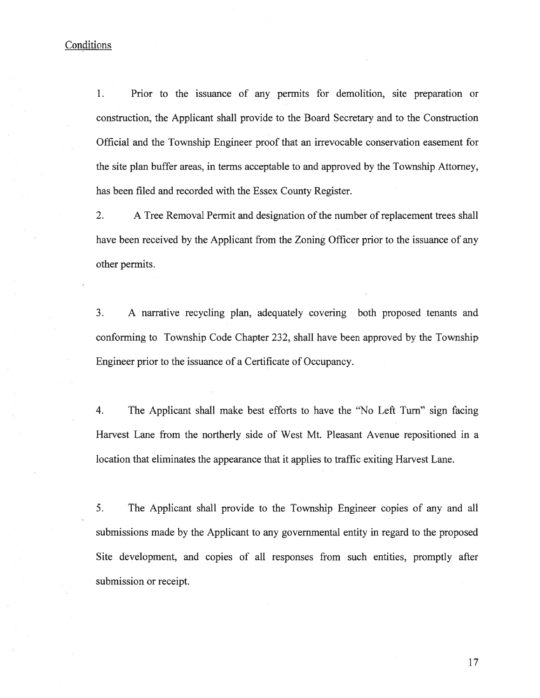# **Conditions**

1. Prior to the issuance of any permits for demolition, site preparation or construction, the Applicant shall provide to the Board Secretary and to the Construction Official and the Township Engineer proof that an irrevocable conservation easement for the site plan buffer areas, in terms acceptable to and approved by the Township Attorney, has been filed and recorded with the Essex County Register.

2. A Tree Removal Permit and designation of the number of replacement trees shall have been received by the Applicant from the Zoning Officer prior to the issuance of any other permits.

3. A narrative recycling plan, adequately covering both proposed tenants and conforming to Township Code Chapter 232, shall have been approved by the Township Engineer prior to the issuance of <sup>a</sup> Certificate of Occupancy.

4. The Applicant shall make best efforts to have the "No Left Turn" sign facing Harvest Lane from the northerly side of West Mt. Pleasant Avenue repositioned in <sup>a</sup> location that eliminates the appearance that it applies to traffic exiting Harvest Lane.

5. The Applicant shall provide to the Township Engineer copies of any and all submissions made by the Applicant to any governmental entity in regard to the proposed Site development, and copies of all responses from such entities, promptly after submission or receipt.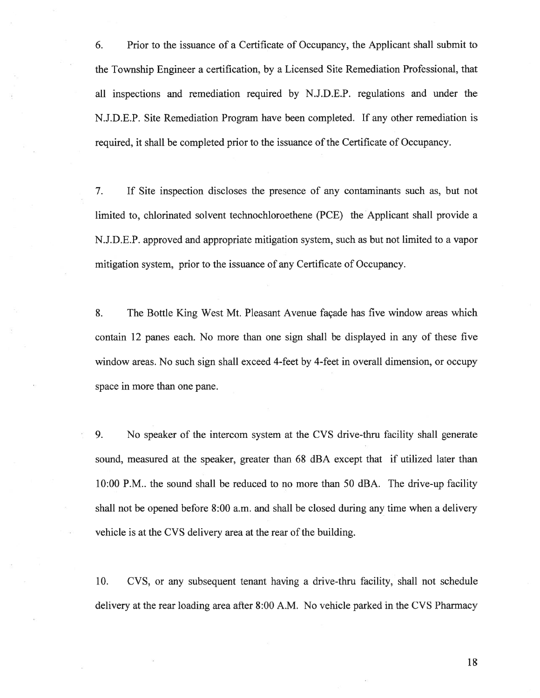6. Prior to the issuance of <sup>a</sup> Certificate of Occupancy, the Applicant shall submit to the Township Engineer <sup>a</sup> certification, by <sup>a</sup> Licensed Site Remediation Professional, that all inspections and remediation required by N.J.D.E.P. regulations and under the N.J.D.E.P. Site Remediation Program have been completed. If any other remediation is required, it shall be completed prior to the issuance of the Certificate of Occupancy.

7. If Site inspection discloses the presence of any contaminants such as, but not limited to, chlorinated solvent technochloroethene (PCE) the Applicant shall provide <sup>a</sup> N.J.D.E.P. approved and appropriate mitigation system, such as but not limited to <sup>a</sup> vapor mitigation system, prior to the issuance of any Certificate of Occupancy.

8. The Bottle King West Mt. Pleasant Avenue façade has five window areas which contain 12 panes each. No more than one sign shall be displayed in any of these five window areas. No such sign shall exceed 4-feet by 4-feet in overall dimension, or occupy space in more than one pane.

9. No speaker of the intercom system at the CVS drive-thru facility shall generate sound, measured at the speaker, greater than 68 dBA excep<sup>t</sup> that if utilized later than 10:00 P.M.. the sound shall be reduced to no more than 50 dBA. The drive-up facility shall not be opened before 8:00 a.m. and shall be closed during any time when <sup>a</sup> delivery vehicle is at the CVS delivery area at the rear of the building.

10. CVS, or any subsequent tenant having <sup>a</sup> drive-thru facility, shall not schedule delivery at the rear loading area after 8:00 A.M. No vehicle parked in the CVS Pharmacy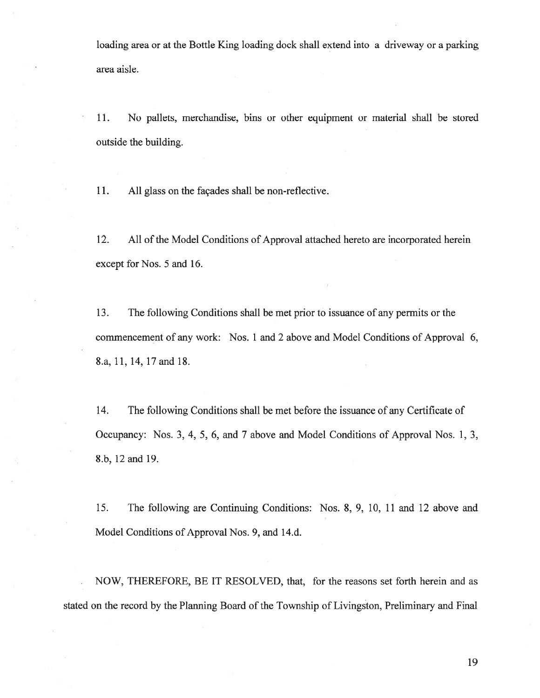loading area or at the Bottle King loading dock shall extend into <sup>a</sup> driveway or <sup>a</sup> parking area aisle.

11. No pallets, merchandise, bins or other equipment or material shall be stored outside the building.

11. All glass on the façades shall be non-reflective.

12. All of the Model Conditions of Approval attached hereto are incorporated herein except for Nos. 5 and 16.

13. The following Conditions shall be met prior to issuance of any permits or the commencement of any work: Nos. 1 and 2 above and Model Conditions of Approval 6, 8.a, 11, 14, 17 and 18.

14. The following Conditions shall be met before the issuance of any Certificate of Occupancy: Nos. 3, 4, 5, 6, and 7 above and Model Conditions of Approval Nos. 1, 3, 8.b, 12 and 19.

15. The following are Continuing Conditions: Nos. 8, 9, 10, 11 and 12 above and Model Conditions of Approval Nos. 9, and 14.d.

 NOW, THEREFORE, BE IT RESOLVED, that, for the reasons set forth herein and as stated on the record by the Planning Board of the Township of Livingston, Preliminary and Final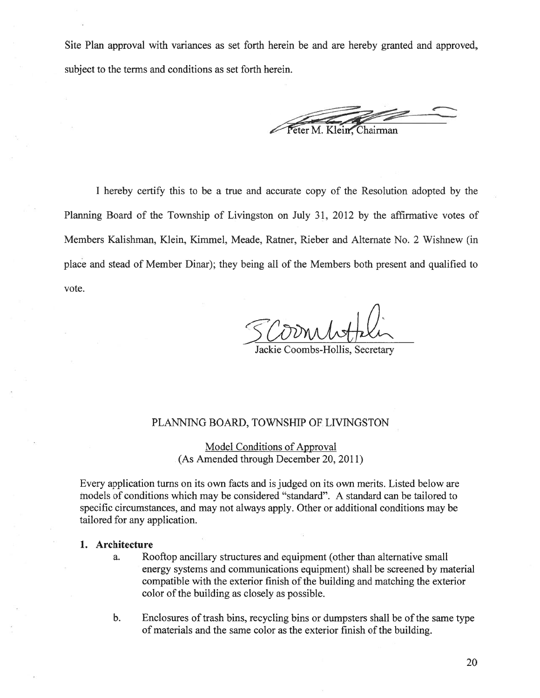Site Plan approval with variances as set forth herein be and are hereby granted and approved, subject to the terms and conditions as set forth herein.

Peter M. Klein, Chairman

I hereby certify this to be <sup>a</sup> true and accurate copy of the Resolution adopted by the Planning Board of the Township of Livingston on July 31, 2012 by the affirmative votes of Members Kalishman, Klein, Kimmel, Meade, Ratner, Rieber and Alternate No. 2 Wishnew (in place and stead of Member Dinar); they being all of the Members both presen<sup>t</sup> and qualified to vote.

Jackie Coombs-Hollis, Secretary

## PLANNING BOARD, TOWNSHIP OF LIVINGSTON

Model Conditions of Approval (As Amended through December 20, 2011)

Every application turns on its own facts and is judged on its own merits. Listed below are models of conditions which may be considered "standard". A standard can be tailored to specific circumstances, and may not always apply. Other or additional conditions may be tailored for any application.

#### 1. Architecture

- a. Rooftop ancillary structures and equipment (other than alternative small energy systems and communications equipment) shall be screened by material compatible with the exterior finish of the building and matching the exterior color of the building as closely as possible.
- b. Enclosures of trash bins, recycling bins or dumpsters shall be of the same type of materials and the same color as the exterior finish of the building.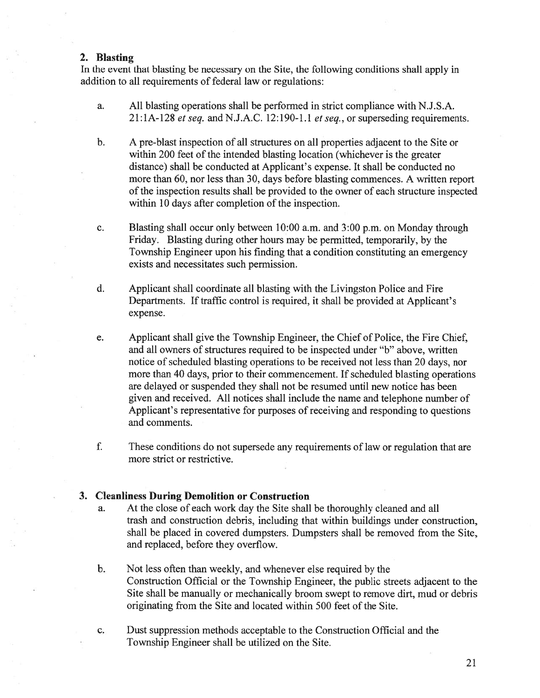### 2. Blasting

In the event that blasting be necessary on the Site, the following conditions shall apply in addition to all requirements of federal law or regulations:

- a. All blasting operations shall be performed in strict compliance with N.J.S.A.  $21:1A-128$  et seq. and N.J.A.C. 12:190-1.1 et seq., or superseding requirements.
- b. A pre-blast inspection of all structures on all properties adjacent to the Site or within 200 feet of the intended blasting location (whichever is the greater distance) shall be conducted at Applicant's expense. It shall be conducted no more than 60, nor less than 30, days before blasting commences. A written repor<sup>t</sup> of the inspection results shall be provided to the owner of each structure inspected within 10 days after completion of the inspection.
- c. Blasting shall occur only between 10:00 a.m. and 3:00 p.m. on Monday through Friday. Blasting during other hours may be permitted, temporarily, by the Township Engineer upon his finding that <sup>a</sup> condition constituting an emergency exists and necessitates such permission.
- d. Applicant shall coordinate all blasting with the Livingston Police and Fire Departments. If traffic control is required, it shall be provided at Applicant's expense.
- e. Applicant shall give the Township Engineer, the Chief of Police, the Fire Chief, and all owners of structures required to be inspected under "b" above, written notice of scheduled blasting operations to be received not less than 20 days, nor more than 40 days, prior to their commencement. If scheduled blasting operations are delayed or suspended they shall not be resumed until new notice has been given and received. All notices shall include the name and telephone number of Applicant's representative for purposes of receiving and responding to questions and comments.
- f. These conditions do not supersede any requirements of law or regulation that are more strict or restrictive.

## 3. Cleanliness During Demolition or Construction

- a. At the close of each work day the Site shall be thoroughly cleaned and all trash and construction debris, including that within buildings under construction, shall be placed in covered dumpsters. Dumpsters shall be removed from the Site, and replaced, before they overflow.
- b. Not less often than weekly, and whenever else required by the Construction Official or the Township Engineer, the public streets adjacent to the Site shall be manually or mechanically broom swep<sup>t</sup> to remove dirt, mud or debris originating from the Site and located within 500 feet of the Site.
- c. Dust suppression methods acceptable to the Construction Official and the Township Engineer shall be utilized on the Site.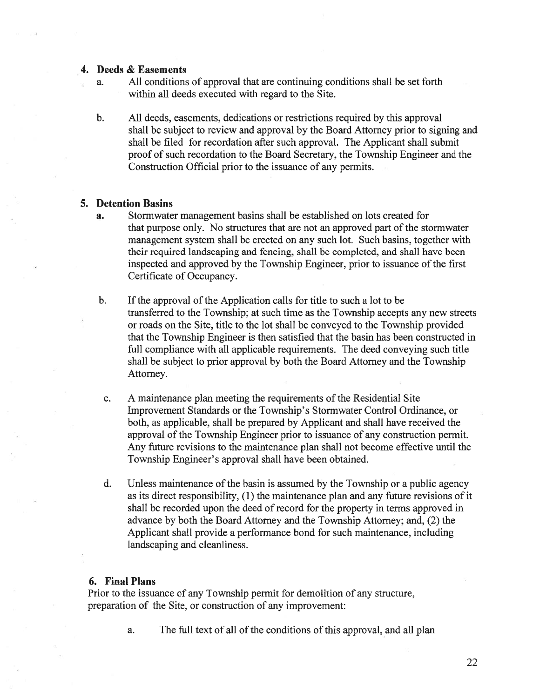### 4. Deeds & Easements

- a. All conditions of approval that are continuing conditions shall be set forth within all deeds executed with regard to the Site.
- b. All deeds, easements, dedications or restrictions required by this approval shall be subject to review and approval by the Board Attorney prior to signing and shall be filed for recordation after such approval. The Applicant shall submit proof of such recordation to the Board Secretary, the Township Engineer and the Construction Official prior to the issuance of any permits.

## 5. Detention Basins

- a. Stormwater managemen<sup>t</sup> basins shall be established on lots created for that purpose only. No structures that are not an approved par<sup>t</sup> of the stormwater managemen<sup>t</sup> system shall be erected on any such lot. Such basins, together with their required landscaping and fencing, shall be completed, and shall have been inspected and approved by the Township Engineer, prior to issuance ofthe first Certificate of Occupancy.
- b. If the approval of the Application calls for title to such a lot to be transferred to the Township; at such time as the Township accepts any new streets or roads on the Site, title to the lot shall be conveyed to the Township provided that the Township Engineer is then satisfied that the basin has been constructed in full compliance with all applicable requirements. The deed conveying such title shall be subject to prior approval by both the Board Attorney and the Township Attorney.
- c. A maintenance plan meeting the requirements of the Residential Site Improvement Standards or the Township's Stormwater Control Ordinance, or both, as applicable, shall be prepared by Applicant and shall have received the approval of the Township Engineer prior to issuance of any construction permit. Any future revisions to the maintenance plan shall not become effective until the Township Engineer's approval shall have been obtained.
- d. Unless maintenance ofthe basin is assumed by the Township or <sup>a</sup> public agency as its direct responsibility, (1) the maintenance plan and any future revisions of it shall be recorded upon the deed of record for the property in terms approved in advance by both the Board Attorney and the Township Attorney; and, (2) the Applicant shall provide <sup>a</sup> performance bond for such maintenance, including landscaping and cleanliness.

## 6. Final Plans

Prior to the issuance of any Township permit for demolition of any structure, preparation of the Site, or construction of any improvement:

a. The full text of all of the conditions of this approval, and all plan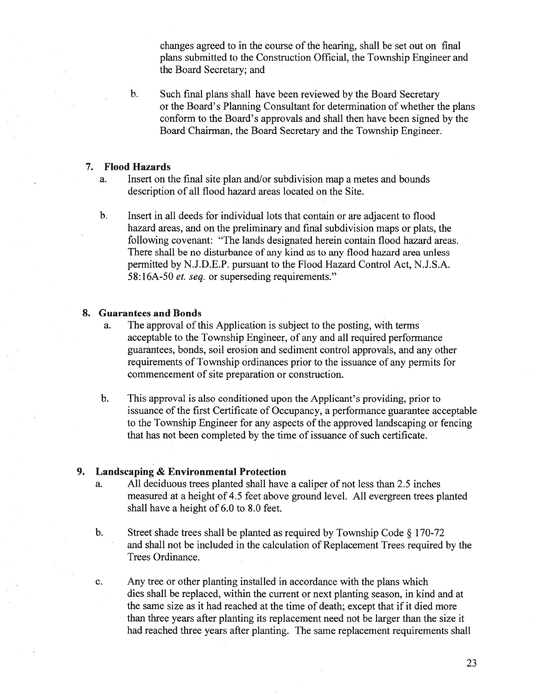changes agreed to in the course of the hearing, shall be set out on final plans submitted to the Construction Official, the Township Engineer and the Board Secretary; and

b. Such final plans shall have been reviewed by the Board Secretary or the Board's Planning Consultant for determination of whether the plans conform to the Board's approvals and shall then have been signed by the Board Chairman, the Board Secretary and the Township Engineer.

#### 7. Flood Hazards

- a. Insert on the final site plan and/or subdivision map <sup>a</sup> metes and bounds description of all flood hazard areas located on the Site.
- b. Insert in all deeds for individual lots that contain or are adjacent to flood hazard areas, and on the preliminary and final subdivision maps or plats, the following covenant: "The lands designated herein contain flood hazard areas. There shall be no disturbance of any kind as to any flood hazard area unless permitted by N.J.D.E.P. pursuan<sup>t</sup> to the Flood Hazard Control Act, N.J.S.A. 58: 16A-50 et. seq. or superseding requirements."

### 8. Guarantees and Bonds

- a. The approval of this Application is subject to the posting, with terms acceptable to the Township Engineer, of any and all required performance guarantees, bonds, soil erosion and sediment control approvals, and any other requirements of Township ordinances prior to the issuance of any permits for commencement of site preparation or construction.
- b. This approval is also conditioned upon the Applicant's providing, prior to issuance ofthe first Certificate of Occupancy, <sup>a</sup> performance guarantee acceptable to the Township Engineer for any aspects of the approved landscaping or fencing that has not been completed by the time of issuance of such certificate.

## 9. Landscaping & Environmental Protection

- a. All deciduous trees planted shall have <sup>a</sup> caliper of not less than 2.5 inches measured at <sup>a</sup> height of 4.5 feet above ground level. All evergreen trees planted shall have <sup>a</sup> height of 6.0 to 8.0 feet.
- b. Street shade trees shall be <sup>p</sup>lanted as required by Township Code § 170-72 and shall not be included in the calculation of Replacement Trees required by the Trees Ordinance.
- c. Any tree or other planting installed in accordance with the plans which dies shall be replaced, within the current or next planting season, in kind and at the same size as it had reached at the time of death; excep<sup>t</sup> that if it died more than three years after planting its replacement need not be larger than the size it had reached three years after planting. The same replacement requirements shall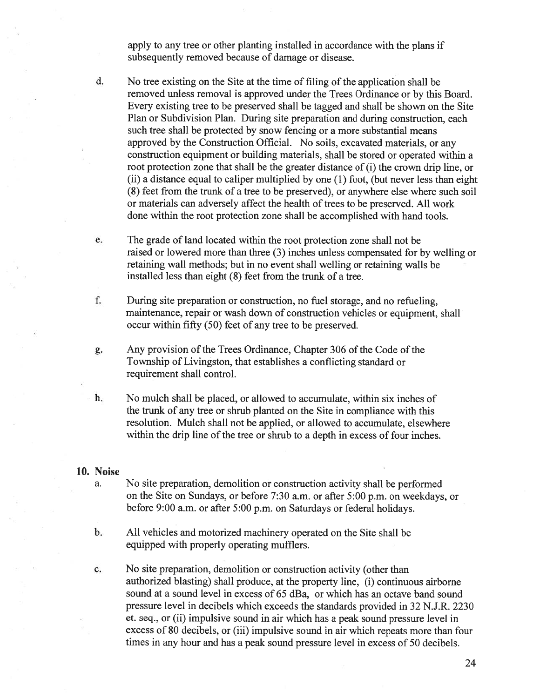apply to any tree or other planting installed in accordance with the plans if subsequently removed because of damage or disease.

- d. No tree existing on the Site at the time of filing of the application shall be removed unless removal is approved under the Trees Ordinance or by this Board. Every existing tree to be preserved shall be tagged and shall be shown on the Site Plan or Subdivision Plan. During site preparation and during construction, each such tree shall be protected by snow fencing or <sup>a</sup> more substantial means approved by the Construction Official. No soils, excavated materials, or any construction equipment or building materials, shall be stored or operated within <sup>a</sup> root protection zone that shall be the greater distance of (i) the crown drip line, or (ii) <sup>a</sup> distance equa<sup>l</sup> to caliper multiplied by one (1) foot, (but never less than eight (8) feet from the trunk of <sup>a</sup> tree to be preserved), or anywhere else where such soil or materials can adversely affect the health of trees to be preserved. All work done within the root protection zone shall be accomplished with hand tools.
- e. The grade of land located within the root protection zone shall not be raised or lowered more than three (3) inches unless compensated for by welling or retaining wall methods; but in no event shall welling or retaining walls be installed less than eight (8) feet from the trunk of <sup>a</sup> tree.
- f. During site preparation or construction, no fuel storage, and no refueling, maintenance, repair or wash down of construction vehicles or equipment, shall occur within fifty (50) feet of any tree to be preserved.
- g. Any provision of the Trees Ordinance, Chapter 306 of the Code of the Township of Livingston, that establishes <sup>a</sup> conflicting standard or requirement shall control.
- h. No mulch shall be placed, or allowed to accumulate, within six inches of the trunk of any tree or shrub planted on the Site in compliance with this resolution. Mulch shall not be applied, or allowed to accumulate, elsewhere within the drip line of the tree or shrub to a depth in excess of four inches.

#### 10. Noise

- a. No site preparation, demolition or construction activity shall be performed on the Site on Sundays, or before 7:30 a.m. or after 5:00 p.m. on weekdays, or before 9:00 a.m. or after 5:00 p.m. on Saturdays or federal holidays.
- b. All vehicles and motorized machinery operated on the Site shall be equipped with properly operating mufflers.
- c. No site preparation, demolition or construction activity (other than authorized blasting) shall produce, at the property line, (i) continuous airborne sound at <sup>a</sup> sound level in excess of 65 dBa, or which has an octave band sound pressure level in decibels which exceeds the standards provided in 32 N.J.R. 2230 et. seq., or (ii) impulsive sound in air which has <sup>a</sup> peak sound pressure level in excess of 80 decibels, or (iii) impulsive sound in air which repeats more than four times in any hour and has <sup>a</sup> peak sound pressure level in excess of 50 decibels.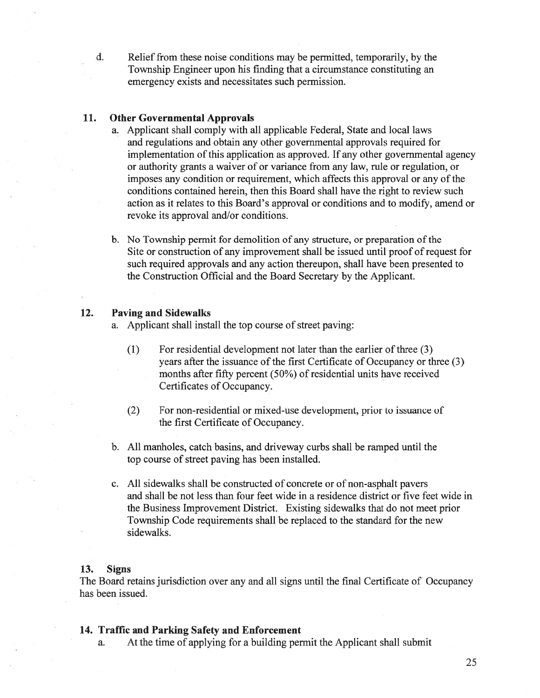d. Relief from these noise conditions may be permitted, temporarily, by the Township Engineer upon his finding that <sup>a</sup> circumstance constituting an emergency exists and necessitates such permission.

## 11. Other Governmental Approvals

- a. Applicant shall comply with all applicable Federal, State and local laws and regulations and obtain any other governmental approvals required for implementation of this application as approved. If any other governmental agency or authority grants <sup>a</sup> waiver of or variance from any law, rule or regulation, or imposes any condition or requirement, which affects this approval or any of the conditions contained herein, then this Board shall have the right to review such action as it relates to this Board's approval or conditions and to modify, amend or revoke its approval and/or conditions.
- b. No Township permit for demolition of any structure, or preparation of the Site or construction of any improvement shall be issued until proof of reques<sup>t</sup> for such required approvals and any action thereupon, shall have been presented to the Construction Official and the Board Secretary by the Applicant.

## 12. Paving and Sidewalks

- a. Applicant shall install the top course of street paving:
	- (1) For residential development not later than the earlier of three (3) years after the issuance of the first Certificate of Occupancy or three (3) months after fifty percent  $(50\%)$  of residential units have received Certificates of Occupancy.
	- (2) For non-residential or mixed-use development, prior to issuance of the first Certificate of Occupancy.
- b. All manholes, catch basins, and driveway curbs shall be ramped until the top course of street paving has been installed.
- c. All sidewalks shall be constructed of concrete or of non-asphalt payers and shall be not less than four feet wide in <sup>a</sup> residence district or five feet wide in the Business Improvement District. Existing sidewalks that do not meet prior Township Code requirements shall be replaced to the standard for the new sidewalks.

## 13. Signs

The Board retains jurisdiction over any and all signs until the final Certificate of Occupancy has been issued.

### 14. Traffic and Parking Safety and Enforcement

a. At the time of applying for <sup>a</sup> building permit the Applicant shall submit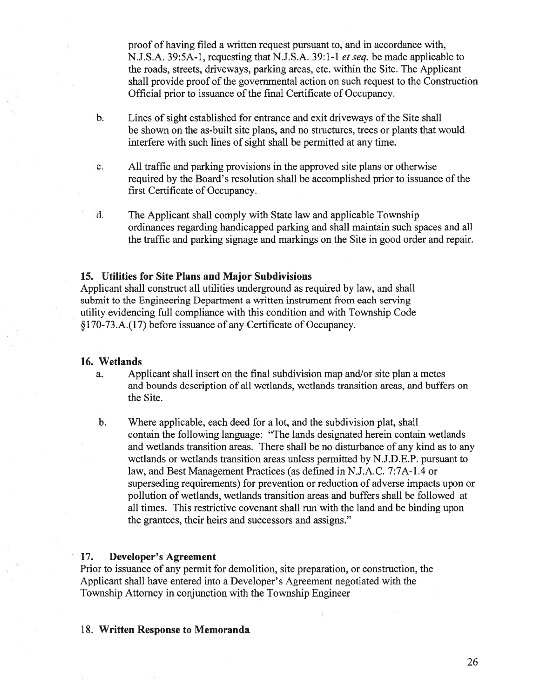proof of having filed <sup>a</sup> written reques<sup>t</sup> pursuan<sup>t</sup> to, and in accordance with, N.J.S.A. 39:5A-l, requesting that N.J.S.A. 39:1-1 et seq. be made applicable to the roads, streets, driveways, parking areas, etc. within the Site. The Applicant shall provide proof of the governmental action on such reques<sup>t</sup> to the Construction Official prior to issuance of the final Certificate of Occupancy.

- b. Lines of sight established for entrance and exit driveways of the Site shall be shown on the as-built site plans, and no structures, trees or plants that would interfere with such lines of sight shall be permitted at any time.
- c. All traffic and parking provisions in the approved site plans or otherwise required by the Board's resolution shall be accomplished prior to issuance of the first Certificate of Occupancy.
- d. The Applicant shall comply with State law and applicable Township ordinances regarding handicapped parking and shall maintain such spaces and all the traffic and parking signage and markings on the Site in good order and repair.

### 15. Utilities for Site Plans and Major Subdivisions

Applicant shall construct all utilities underground as required by law, and shall submit to the Engineering Department <sup>a</sup> written instrument from each serving utility evidencing full compliance with this condition and with Township Code §170-73.A.(17) before issuance of any Certificate of Occupancy.

#### 16. Wetlands

- a. Applicant shall insert on the final subdivision map and/or site plan <sup>a</sup> metes and bounds description of all wetlands, wetlands transition areas, and buffers on the Site.
- b. Where applicable, each deed for <sup>a</sup> lot, and the subdivision plat, shall contain the following language: "The lands designated herein contain wetlands and wetlands transition areas. There shall be no disturbance of any kind as to any wetlands or wetlands transition areas unless permitted by N.J.D.E.P. pursuan<sup>t</sup> to law, and Best Management Practices (as defined in N.J.A.C. 7:7A-1.4 or superseding requirements) for prevention or reduction of adverse impacts upon or pollution of wetlands, wetlands transition areas and buffers shall be followed at all times. This restrictive covenant shall run with the land and be binding upon the grantees, their heirs and successors and assigns."

#### 17. Developer's Agreement

Prior to issuance of any permit for demolition, site preparation, or construction, the Applicant shall have entered into <sup>a</sup> Developer's Agreement negotiated with the Township Attorney in conjunction with the Township Engineer

#### 18. Written Response to Memoranda